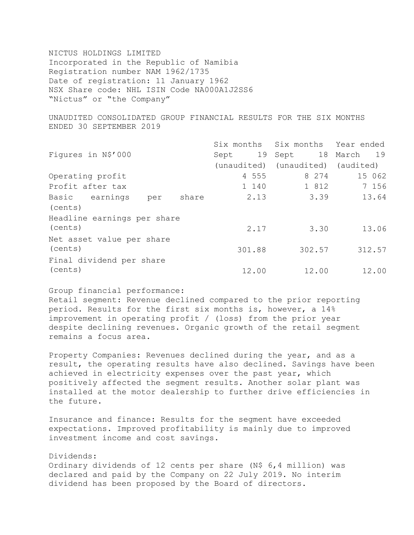NICTUS HOLDINGS LIMITED Incorporated in the Republic of Namibia Registration number NAM 1962/1735 Date of registration: 11 January 1962 NSX Share code: NHL ISIN Code NA000A1J2SS6 "Nictus" or "the Company"

UNAUDITED CONSOLIDATED GROUP FINANCIAL RESULTS FOR THE SIX MONTHS ENDED 30 SEPTEMBER 2019

|                                |        | Six months Six months Year ended  |        |
|--------------------------------|--------|-----------------------------------|--------|
| Figures in N\$'000             | Sept   | 19 Sept 18 March 19               |        |
|                                |        | (unaudited) (unaudited) (audited) |        |
| Operating profit               | 4 555  | 8 2 7 4                           | 15 062 |
| Profit after tax               | 1 140  | 1 812                             | 7 156  |
| Basic earnings<br>share<br>per | 2.13   | 3.39                              | 13.64  |
| (cents)                        |        |                                   |        |
| Headline earnings per share    |        |                                   |        |
| (cents)                        | 2.17   | 3.30                              | 13.06  |
| Net asset value per share      |        |                                   |        |
| (cents)                        | 301.88 | 302.57                            | 312.57 |
| Final dividend per share       |        |                                   |        |
| (cents)                        | 12.00  | 12.00                             | 12.00  |

Group financial performance:

Retail segment: Revenue declined compared to the prior reporting period. Results for the first six months is, however, a 14% improvement in operating profit / (loss) from the prior year despite declining revenues. Organic growth of the retail segment remains a focus area.

Property Companies: Revenues declined during the year, and as a result, the operating results have also declined. Savings have been achieved in electricity expenses over the past year, which positively affected the segment results. Another solar plant was installed at the motor dealership to further drive efficiencies in the future.

Insurance and finance: Results for the segment have exceeded expectations. Improved profitability is mainly due to improved investment income and cost savings.

## Dividends:

Ordinary dividends of 12 cents per share (N\$ 6,4 million) was declared and paid by the Company on 22 July 2019. No interim dividend has been proposed by the Board of directors.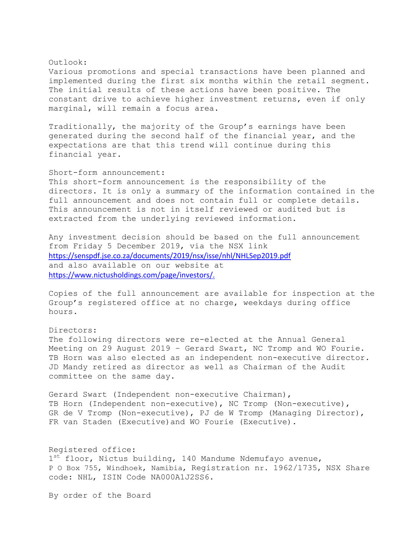## Outlook:

Various promotions and special transactions have been planned and implemented during the first six months within the retail segment. The initial results of these actions have been positive. The constant drive to achieve higher investment returns, even if only marginal, will remain a focus area.

Traditionally, the majority of the Group's earnings have been generated during the second half of the financial year, and the expectations are that this trend will continue during this financial year.

## Short-form announcement:

This short-form announcement is the responsibility of the directors. It is only a summary of the information contained in the full announcement and does not contain full or complete details. This announcement is not in itself reviewed or audited but is extracted from the underlying reviewed information.

Any investment decision should be based on the full announcement from Friday 5 December 2019, via the NSX link <https://senspdf.jse.co.za/documents/2019/nsx/isse/nhl/NHLSep2019.pdf> and also available on our website at [https://www.nictusholdings.com/page/investors/.](https://www.nictusholdings.com/page/investors/)

Copies of the full announcement are available for inspection at the Group's registered office at no charge, weekdays during office hours.

## Directors:

The following directors were re-elected at the Annual General Meeting on 29 August 2019 – Gerard Swart, NC Tromp and WO Fourie. TB Horn was also elected as an independent non-executive director. JD Mandy retired as director as well as Chairman of the Audit committee on the same day.

Gerard Swart (Independent non-executive Chairman), TB Horn (Independent non-executive), NC Tromp (Non-executive), GR de V Tromp (Non-executive), PJ de W Tromp (Managing Director), FR van Staden (Executive)and WO Fourie (Executive).

Registered office: 1<sup>st</sup> floor, Nictus building, 140 Mandume Ndemufayo avenue, P O Box 755, Windhoek, Namibia, Registration nr. 1962/1735, NSX Share code: NHL, ISIN Code NA000A1J2SS6.

By order of the Board